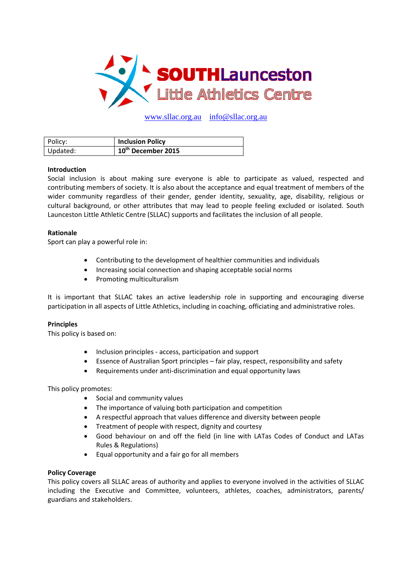

www.sllac.org.au info@sllac.org.au

| Policy:  | <b>Inclusion Policy</b>        |
|----------|--------------------------------|
| Updated: | 10 <sup>th</sup> December 2015 |

# **Introduction**

Social inclusion is about making sure everyone is able to participate as valued, respected and contributing members of society. It is also about the acceptance and equal treatment of members of the wider community regardless of their gender, gender identity, sexuality, age, disability, religious or cultural background, or other attributes that may lead to people feeling excluded or isolated. South Launceston Little Athletic Centre (SLLAC) supports and facilitates the inclusion of all people.

## **Rationale**

Sport can play a powerful role in:

- Contributing to the development of healthier communities and individuals
- Increasing social connection and shaping acceptable social norms
- Promoting multiculturalism

It is important that SLLAC takes an active leadership role in supporting and encouraging diverse participation in all aspects of Little Athletics, including in coaching, officiating and administrative roles.

# **Principles**

This policy is based on:

- Inclusion principles ‐ access, participation and support
- Essence of Australian Sport principles fair play, respect, responsibility and safety
- Requirements under anti‐discrimination and equal opportunity laws

This policy promotes:

- Social and community values
- The importance of valuing both participation and competition
- A respectful approach that values difference and diversity between people
- Treatment of people with respect, dignity and courtesy
- Good behaviour on and off the field (in line with LATas Codes of Conduct and LATas Rules & Regulations)
- Equal opportunity and a fair go for all members

# **Policy Coverage**

This policy covers all SLLAC areas of authority and applies to everyone involved in the activities of SLLAC including the Executive and Committee, volunteers, athletes, coaches, administrators, parents/ guardians and stakeholders.